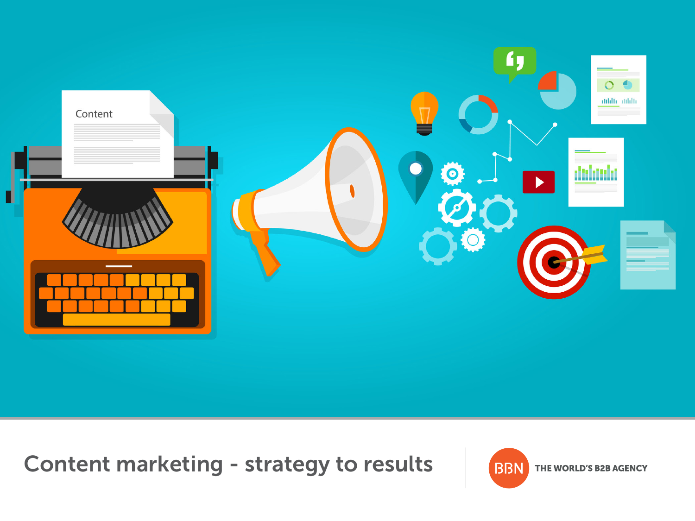

Content marketing - strategy to results

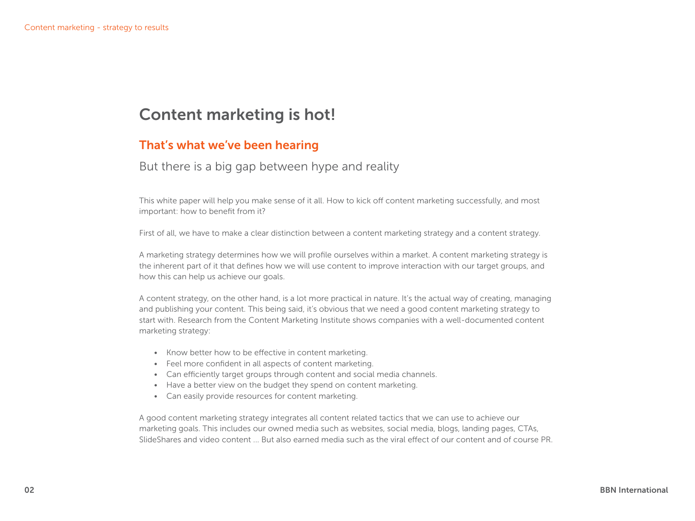# Content marketing is hot!

### That's what we've been hearing

#### But there is a big gap between hype and reality

This white paper will help you make sense of it all. How to kick off content marketing successfully, and most important: how to benefit from it?

First of all, we have to make a clear distinction between a content marketing strategy and a content strategy.

A marketing strategy determines how we will profile ourselves within a market. A content marketing strategy is the inherent part of it that defines how we will use content to improve interaction with our target groups, and how this can help us achieve our goals.

A content strategy, on the other hand, is a lot more practical in nature. It's the actual way of creating, managing and publishing your content. This being said, it's obvious that we need a good content marketing strategy to start with. Research from the Content Marketing Institute shows companies with a well-documented content marketing strategy:

- Know better how to be effective in content marketing.
- Feel more confident in all aspects of content marketing.
- Can efficiently target groups through content and social media channels.
- Have a better view on the budget they spend on content marketing.
- Can easily provide resources for content marketing.

A good content marketing strategy integrates all content related tactics that we can use to achieve our marketing goals. This includes our owned media such as websites, social media, blogs, landing pages, CTAs, SlideShares and video content ... But also earned media such as the viral effect of our content and of course PR.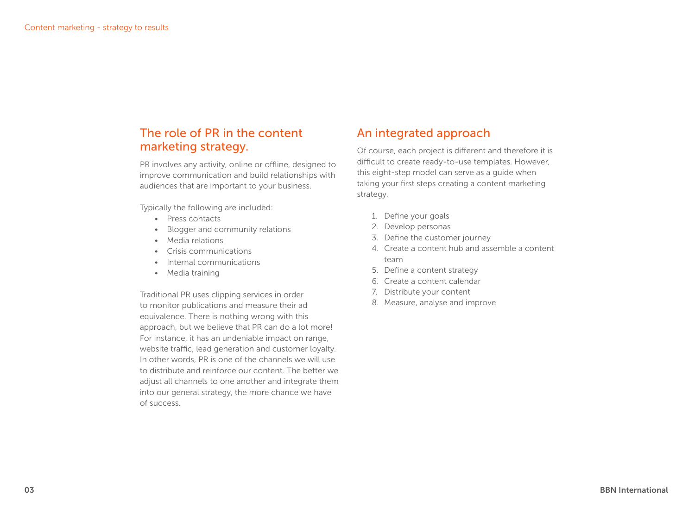### The role of PR in the content marketing strategy.

PR involves any activity, online or offline, designed to improve communication and build relationships with audiences that are important to your business.

Typically the following are included:

- Press contacts
- Blogger and community relations
- Media relations
- Crisis communications
- Internal communications
- Media training

Traditional PR uses clipping services in order to monitor publications and measure their ad equivalence. There is nothing wrong with this approach, but we believe that PR can do a lot more! For instance, it has an undeniable impact on range, website traffic, lead generation and customer loyalty. In other words, PR is one of the channels we will use to distribute and reinforce our content. The better we adjust all channels to one another and integrate them into our general strategy, the more chance we have of success.

### An integrated approach

Of course, each project is different and therefore it is difficult to create ready-to-use templates. However, this eight-step model can serve as a guide when taking your first steps creating a content marketing strategy.

- 1. Define your goals
- 2. Develop personas
- 3. Define the customer journey
- 4. Create a content hub and assemble a content team
- 5. Define a content strategy
- 6. Create a content calendar
- 7. Distribute your content
- 8. Measure, analyse and improve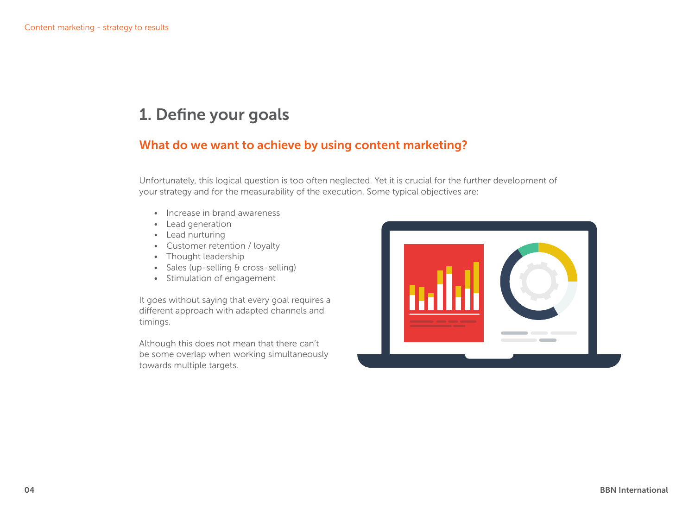# 1. Define your goals

### What do we want to achieve by using content marketing?

Unfortunately, this logical question is too often neglected. Yet it is crucial for the further development of your strategy and for the measurability of the execution. Some typical objectives are:

- Increase in brand awareness
- Lead generation
- Lead nurturing
- Customer retention / loyalty
- Thought leadership
- Sales (up-selling & cross-selling)
- Stimulation of engagement

It goes without saying that every goal requires a different approach with adapted channels and timings.

Although this does not mean that there can't be some overlap when working simultaneously towards multiple targets.

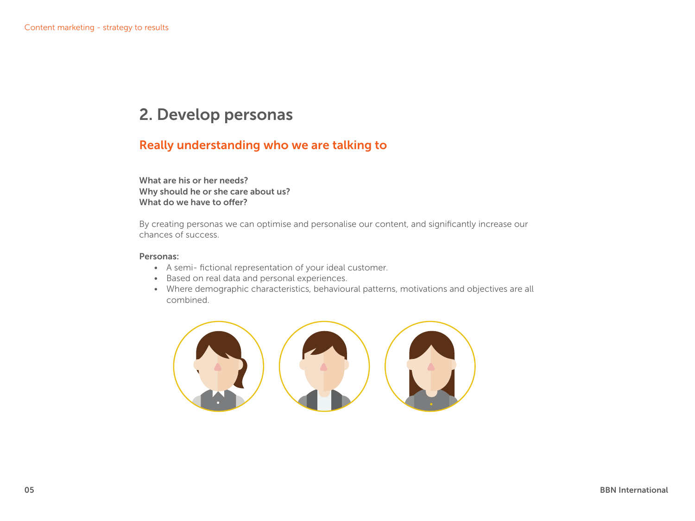# 2. Develop personas

### Really understanding who we are talking to

What are his or her needs? Why should he or she care about us? What do we have to offer?

By creating personas we can optimise and personalise our content, and significantly increase our chances of success.

#### Personas:

- A semi- fictional representation of your ideal customer.
- Based on real data and personal experiences.
- Where demographic characteristics, behavioural patterns, motivations and objectives are all combined.

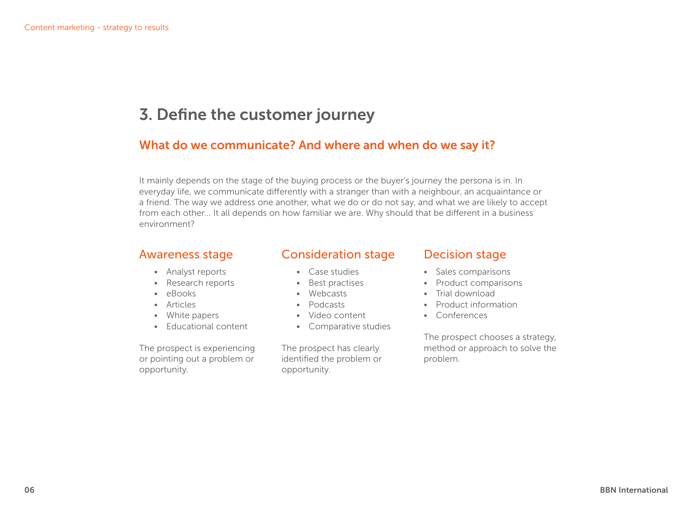# 3. Define the customer journey

#### What do we communicate? And where and when do we say it?

It mainly depends on the stage of the buying process or the buyer's journey the persona is in. In everyday life, we communicate differently with a stranger than with a neighbour, an acquaintance or a friend. The way we address one another, what we do or do not say, and what we are likely to accept from each other... It all depends on how familiar we are. Why should that be different in a business environment?

#### Awareness stage

- Analyst reports
- Research reports
- eBooks
- Articles
- White papers
- Educational content

The prospect is experiencing or pointing out a problem or opportunity.

#### Consideration stage

- Case studies
- Best practises
- Webcasts
- Podcasts
- Video content
- Comparative studies

The prospect has clearly identified the problem or opportunity.

#### Decision stage

- Sales comparisons
- Product comparisons
- Trial download
- Product information
- Conferences

The prospect chooses a strategy, method or approach to solve the problem.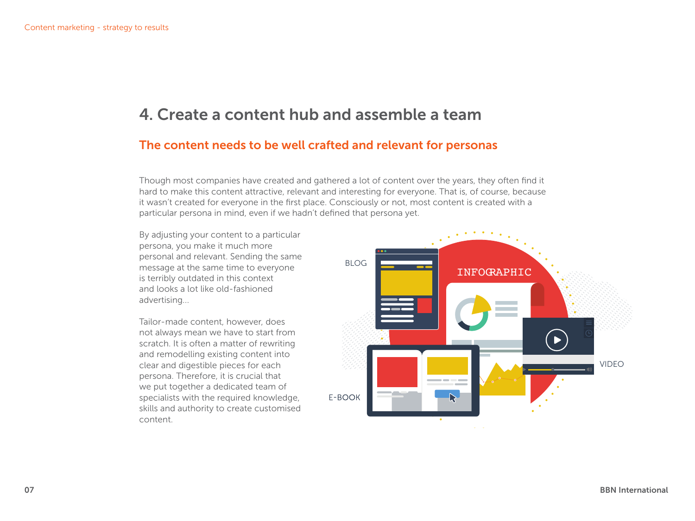# 4. Create a content hub and assemble a team

### The content needs to be well crafted and relevant for personas

Though most companies have created and gathered a lot of content over the years, they often find it hard to make this content attractive, relevant and interesting for everyone. That is, of course, because it wasn't created for everyone in the first place. Consciously or not, most content is created with a particular persona in mind, even if we hadn't defined that persona yet.

By adjusting your content to a particular persona, you make it much more personal and relevant. Sending the same message at the same time to everyone is terribly outdated in this context and looks a lot like old-fashioned advertising...

Tailor-made content, however, does not always mean we have to start from scratch. It is often a matter of rewriting and remodelling existing content into clear and digestible pieces for each persona. Therefore, it is crucial that we put together a dedicated team of specialists with the required knowledge, skills and authority to create customised content.

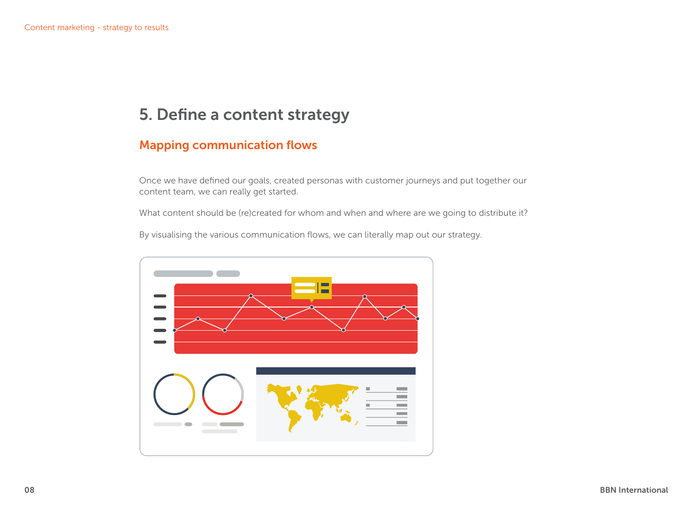# 5. Define a content strategy

### Mapping communication flows

Once we have defined our goals, created personas with customer journeys and put together our content team, we can really get started.

What content should be (re)created for whom and when and where are we going to distribute it?

By visualising the various communication flows, we can literally map out our strategy.

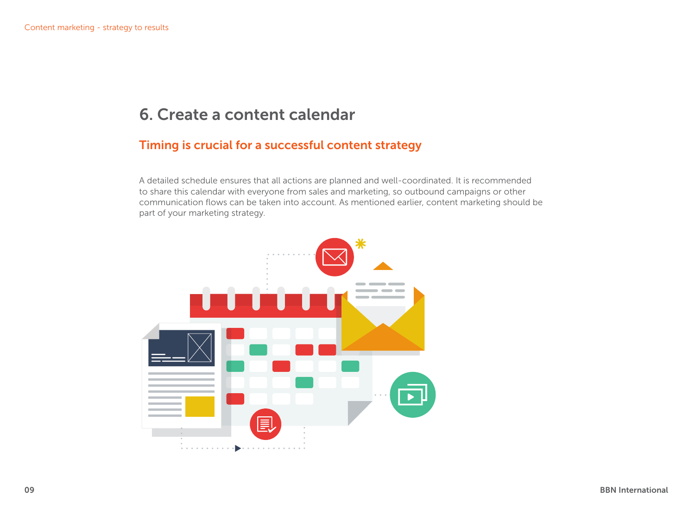# 6. Create a content calendar

### Timing is crucial for a successful content strategy

A detailed schedule ensures that all actions are planned and well-coordinated. It is recommended to share this calendar with everyone from sales and marketing, so outbound campaigns or other communication flows can be taken into account. As mentioned earlier, content marketing should be part of your marketing strategy.

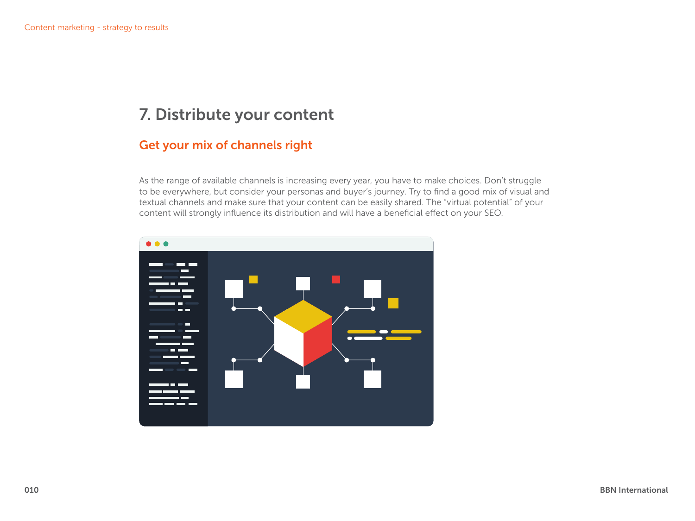# 7. Distribute your content

### Get your mix of channels right

As the range of available channels is increasing every year, you have to make choices. Don't struggle to be everywhere, but consider your personas and buyer's journey. Try to find a good mix of visual and textual channels and make sure that your content can be easily shared. The "virtual potential" of your content will strongly influence its distribution and will have a beneficial effect on your SEO.

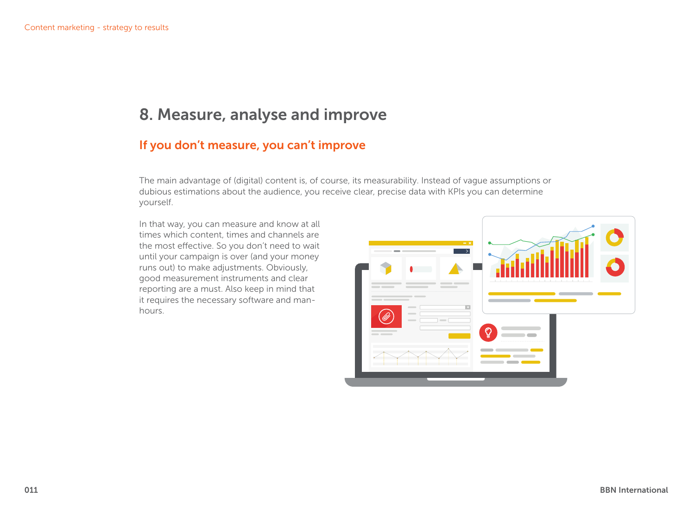# 8. Measure, analyse and improve

### If you don't measure, you can't improve

The main advantage of (digital) content is, of course, its measurability. Instead of vague assumptions or dubious estimations about the audience, you receive clear, precise data with KPIs you can determine yourself.

In that way, you can measure and know at all times which content, times and channels are the most effective. So you don't need to wait until your campaign is over (and your money runs out) to make adjustments. Obviously, good measurement instruments and clear reporting are a must. Also keep in mind that it requires the necessary software and manhours.

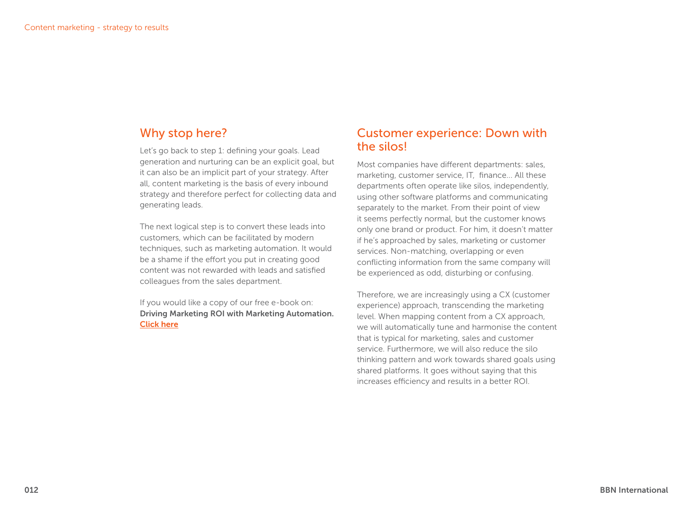### Why stop here?

Let's go back to step 1: defining your goals. Lead generation and nurturing can be an explicit goal, but it can also be an implicit part of your strategy. After all, content marketing is the basis of every inbound strategy and therefore perfect for collecting data and generating leads.

The next logical step is to convert these leads into customers, which can be facilitated by modern techniques, such as marketing automation. It would be a shame if the effort you put in creating good content was not rewarded with leads and satisfied colleagues from the sales department.

If you would like a copy of our free e-book on: Driving Marketing ROI with Marketing Automation. [Click here](http://bbn-international.com/lp/driving-marketin…eting-automation/ ‎)

### Customer experience: Down with the silos!

Most companies have different departments: sales, marketing, customer service, IT, finance... All these departments often operate like silos, independently, using other software platforms and communicating separately to the market. From their point of view it seems perfectly normal, but the customer knows only one brand or product. For him, it doesn't matter if he's approached by sales, marketing or customer services. Non-matching, overlapping or even conflicting information from the same company will be experienced as odd, disturbing or confusing.

Therefore, we are increasingly using a CX (customer experience) approach, transcending the marketing level. When mapping content from a CX approach, we will automatically tune and harmonise the content that is typical for marketing, sales and customer service. Furthermore, we will also reduce the silo thinking pattern and work towards shared goals using shared platforms. It goes without saying that this increases efficiency and results in a better ROI.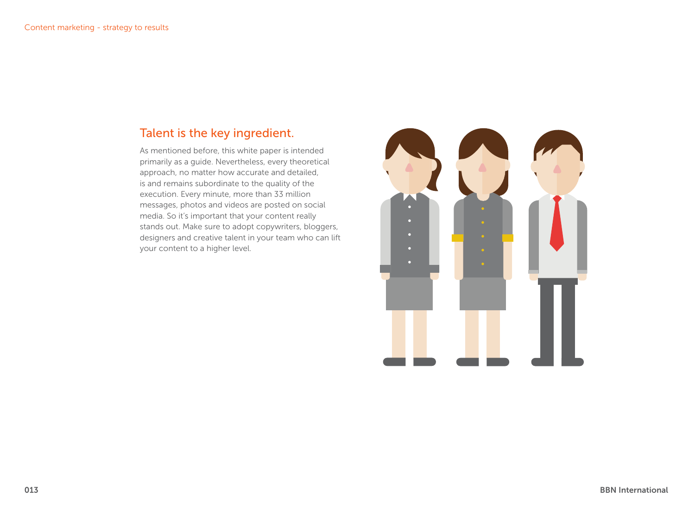### Talent is the key ingredient.

As mentioned before, this white paper is intended primarily as a guide. Nevertheless, every theoretical approach, no matter how accurate and detailed, is and remains subordinate to the quality of the execution. Every minute, more than 33 million messages, photos and videos are posted on social media. So it's important that your content really stands out. Make sure to adopt copywriters, bloggers, designers and creative talent in your team who can lift your content to a higher level.

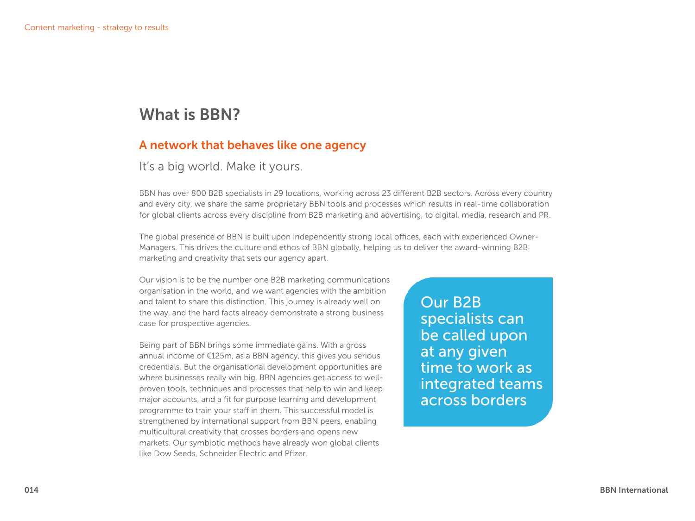# What is BBN?

### A network that behaves like one agency

#### It's a big world. Make it yours.

BBN has over 800 B2B specialists in 29 locations, working across 23 different B2B sectors. Across every country and every city, we share the same proprietary BBN tools and processes which results in real-time collaboration for global clients across every discipline from B2B marketing and advertising, to digital, media, research and PR.

The global presence of BBN is built upon independently strong local offices, each with experienced Owner-Managers. This drives the culture and ethos of BBN globally, helping us to deliver the award-winning B2B marketing and creativity that sets our agency apart.

Our vision is to be the number one B2B marketing communications organisation in the world, and we want agencies with the ambition and talent to share this distinction. This journey is already well on the way, and the hard facts already demonstrate a strong business case for prospective agencies.

Being part of BBN brings some immediate gains. With a gross annual income of €125m, as a BBN agency, this gives you serious credentials. But the organisational development opportunities are where businesses really win big. BBN agencies get access to wellproven tools, techniques and processes that help to win and keep major accounts, and a fit for purpose learning and development programme to train your staff in them. This successful model is strengthened by international support from BBN peers, enabling multicultural creativity that crosses borders and opens new markets. Our symbiotic methods have already won global clients like Dow Seeds, Schneider Electric and Pfizer.

Our B2B specialists can be called upon at any given time to work as integrated teams across borders